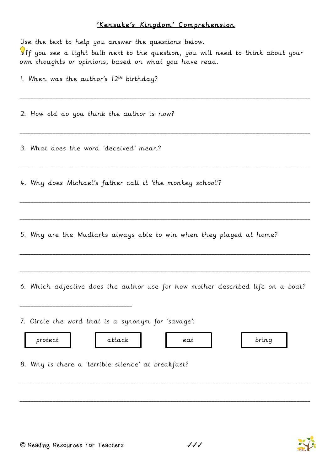## 'Kensuke's Kingdom' Comprehension

| Use the text to help you answer the questions below.<br>If you see a light bulb next to the question, you will need to think about your<br>own thoughts or opinions, based on what you have read.<br>1. When was the author's $12^{th}$ birthday? |
|---------------------------------------------------------------------------------------------------------------------------------------------------------------------------------------------------------------------------------------------------|
| 2. How old do you think the author is now?                                                                                                                                                                                                        |
| 3. What does the word 'deceived' mean?                                                                                                                                                                                                            |
| 4. Why does Michael's father call it 'the monkey school'?                                                                                                                                                                                         |
| 5. Why are the Mudlarks always able to win when they played at home?                                                                                                                                                                              |
| 6. Which adjective does the author use for how mother described life on a boat?                                                                                                                                                                   |
| 7. Circle the word that is a synonym for 'savage':<br>attack<br>protect<br>bring<br>eat<br>8. Why is there a 'terrible silence' at breakfast?                                                                                                     |
|                                                                                                                                                                                                                                                   |